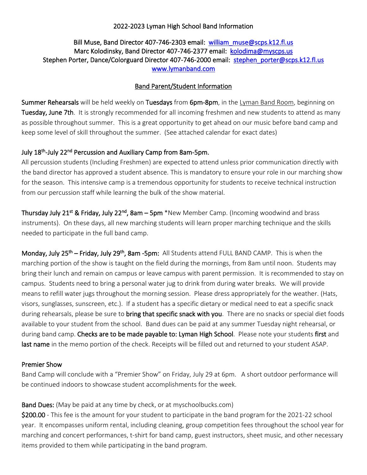# 2022-2023 Lyman High School Band Information

# Bill Muse, Band Director 407-746-2303 email: william\_muse@scps.k12.fl.us Marc Kolodinsky, Band Director 407-746-2377 email: kolodima@myscps.us Stephen Porter, Dance/Colorguard Director 407-746-2000 email: stephen\_porter@scps.k12.fl.us [www.lymanband.com](http://www.lymanband.com/)

## Band Parent/Student Information

Summer Rehearsals will be held weekly on Tuesdays from 6pm-8pm, in the Lyman Band Room, beginning on Tuesday, June 7th. It is strongly recommended for all incoming freshmen and new students to attend as many as possible throughout summer. This is a great opportunity to get ahead on our music before band camp and keep some level of skill throughout the summer. (See attached calendar for exact dates)

# July 18<sup>th</sup>-July 22<sup>nd</sup> Percussion and Auxiliary Camp from 8am-5pm.

All percussion students (Including Freshmen) are expected to attend unless prior communication directly with the band director has approved a student absence. This is mandatory to ensure your role in our marching show for the season. This intensive camp is a tremendous opportunity for students to receive technical instruction from our percussion staff while learning the bulk of the show material.

Thursday July 21<sup>st</sup> & Friday, July 22<sup>nd</sup>, 8am – 5pm \*New Member Camp. (Incoming woodwind and brass instruments). On these days, all new marching students will learn proper marching technique and the skills needed to participate in the full band camp.

Monday, July 25<sup>th</sup> – Friday, July 29<sup>th</sup>, 8am -5pm: All Students attend FULL BAND CAMP. This is when the marching portion of the show is taught on the field during the mornings, from 8am until noon. Students may bring their lunch and remain on campus or leave campus with parent permission. It is recommended to stay on campus. Students need to bring a personal water jug to drink from during water breaks. We will provide means to refill water jugs throughout the morning session. Please dress appropriately for the weather. (Hats, visors, sunglasses, sunscreen, etc.). If a student has a specific dietary or medical need to eat a specific snack during rehearsals, please be sure to **bring that specific snack with you**. There are no snacks or special diet foods available to your student from the school. Band dues can be paid at any summer Tuesday night rehearsal, or during band camp. Checks are to be made payable to: Lyman High School. Please note your students first and last name in the memo portion of the check. Receipts will be filled out and returned to your student ASAP.

### Premier Show

Band Camp will conclude with a "Premier Show" on Friday, July 29 at 6pm. A short outdoor performance will be continued indoors to showcase student accomplishments for the week.

Band Dues: (May be paid at any time by check, or at myschoolbucks.com)

\$200.00 - This fee is the amount for your student to participate in the band program for the 2021-22 school year. It encompasses uniform rental, including cleaning, group competition fees throughout the school year for marching and concert performances, t-shirt for band camp, guest instructors, sheet music, and other necessary items provided to them while participating in the band program.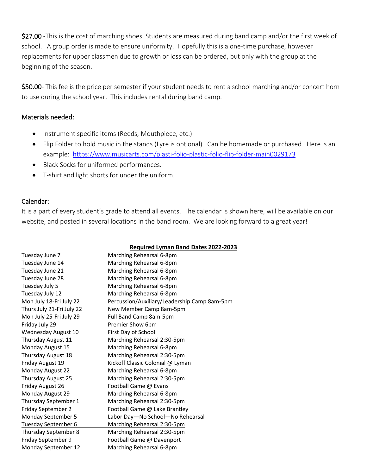\$27.00 -This is the cost of marching shoes. Students are measured during band camp and/or the first week of school. A group order is made to ensure uniformity. Hopefully this is a one-time purchase, however replacements for upper classmen due to growth or loss can be ordered, but only with the group at the beginning of the season.

\$50.00- This fee is the price per semester if your student needs to rent a school marching and/or concert horn to use during the school year. This includes rental during band camp.

### Materials needed:

- Instrument specific items (Reeds, Mouthpiece, etc.)
- Flip Folder to hold music in the stands (Lyre is optional). Can be homemade or purchased. Here is an example: <https://www.musicarts.com/plasti-folio-plastic-folio-flip-folder-main0029173>
- Black Socks for uniformed performances.
- T-shirt and light shorts for under the uniform.

## Calendar:

It is a part of every student's grade to attend all events. The calendar is shown here, will be available on our website, and posted in several locations in the band room. We are looking forward to a great year!

#### **Required Lyman Band Dates 2022-2023**

| Tuesday June 7            | Marching Rehearsal 6-8pm                     |
|---------------------------|----------------------------------------------|
| Tuesday June 14           | Marching Rehearsal 6-8pm                     |
| Tuesday June 21           | Marching Rehearsal 6-8pm                     |
| Tuesday June 28           | Marching Rehearsal 6-8pm                     |
| Tuesday July 5            | Marching Rehearsal 6-8pm                     |
| Tuesday July 12           | Marching Rehearsal 6-8pm                     |
| Mon July 18-Fri July 22   | Percussion/Auxiliary/Leadership Camp 8am-5pm |
| Thurs July 21-Fri July 22 | New Member Camp 8am-5pm                      |
| Mon July 25-Fri July 29   | Full Band Camp 8am-5pm                       |
| Friday July 29            | Premier Show 6pm                             |
| Wednesday August 10       | First Day of School                          |
| Thursday August 11        | Marching Rehearsal 2:30-5pm                  |
| Monday August 15          | Marching Rehearsal 6-8pm                     |
| Thursday August 18        | Marching Rehearsal 2:30-5pm                  |
| Friday August 19          | Kickoff Classic Colonial @ Lyman             |
| Monday August 22          | Marching Rehearsal 6-8pm                     |
| Thursday August 25        | Marching Rehearsal 2:30-5pm                  |
| Friday August 26          | Football Game @ Evans                        |
| Monday August 29          | Marching Rehearsal 6-8pm                     |
| Thursday September 1      | Marching Rehearsal 2:30-5pm                  |
| Friday September 2        | Football Game @ Lake Brantley                |
| Monday September 5        | Labor Day-No School-No Rehearsal             |
| Tuesday September 6       | Marching Rehearsal 2:30-5pm                  |
| Thursday September 8      | Marching Rehearsal 2:30-5pm                  |
| Friday September 9        | Football Game @ Davenport                    |
| Monday September 12       | Marching Rehearsal 6-8pm                     |